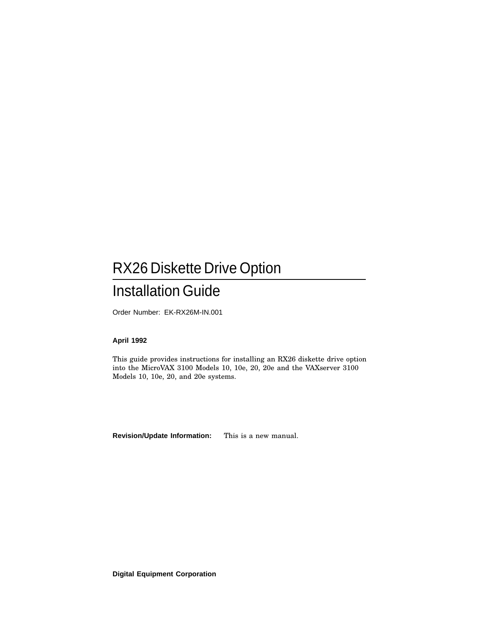# RX26 Diskette Drive Option

## Installation Guide

Order Number: EK-RX26M-IN.001

#### **April 1992**

This guide provides instructions for installing an RX26 diskette drive option into the MicroVAX 3100 Models 10, 10e, 20, 20e and the VAXserver 3100 Models 10, 10e, 20, and 20e systems.

**Revision/Update Information:** This is a new manual.

**Digital Equipment Corporation**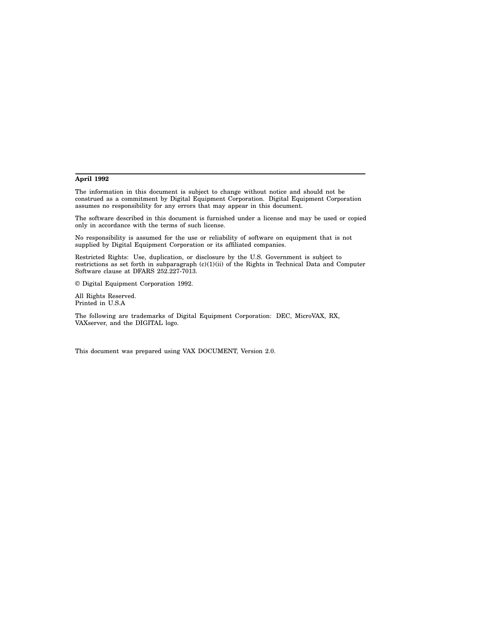#### **April 1992**

The information in this document is subject to change without notice and should not be construed as a commitment by Digital Equipment Corporation. Digital Equipment Corporation assumes no responsibility for any errors that may appear in this document.

The software described in this document is furnished under a license and may be used or copied only in accordance with the terms of such license.

No responsibility is assumed for the use or reliability of software on equipment that is not supplied by Digital Equipment Corporation or its affiliated companies.

Restricted Rights: Use, duplication, or disclosure by the U.S. Government is subject to restrictions as set forth in subparagraph (c)(1)(ii) of the Rights in Technical Data and Computer Software clause at DFARS 252.227-7013.

© Digital Equipment Corporation 1992.

All Rights Reserved. Printed in U.S.A

The following are trademarks of Digital Equipment Corporation: DEC, MicroVAX, RX, VAXserver, and the DIGITAL logo.

This document was prepared using VAX DOCUMENT, Version 2.0.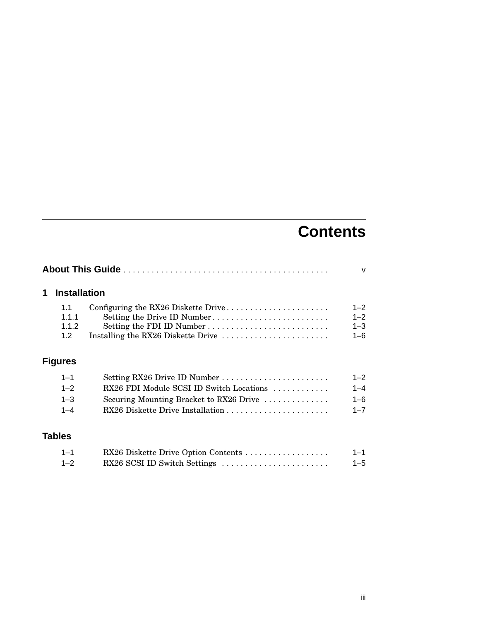# **Contents**

| 1 | <b>Installation</b>          |                                                                                                                                       |                                          |  |
|---|------------------------------|---------------------------------------------------------------------------------------------------------------------------------------|------------------------------------------|--|
|   | 1.1<br>1.1.1<br>1.1.2<br>1.2 | Configuring the RX26 Diskette Drive<br>Setting the Drive ID Number<br>Setting the FDI ID Number<br>Installing the RX26 Diskette Drive | $1 - 2$<br>$1 - 2$<br>$1 - 3$<br>$1 - 6$ |  |
|   | <b>Figures</b>               |                                                                                                                                       |                                          |  |
|   | $1 - 1$                      |                                                                                                                                       | $1 - 2$                                  |  |
|   | $1 - 2$                      | RX26 FDI Module SCSI ID Switch Locations                                                                                              | $1 - 4$                                  |  |
|   | $1 - 3$                      | Securing Mounting Bracket to RX26 Drive                                                                                               | $1 - 6$                                  |  |
|   | $1 - 4$                      |                                                                                                                                       | $1 - 7$                                  |  |
|   | <b>Tables</b>                |                                                                                                                                       |                                          |  |
|   | $1 - 1$                      | RX26 Diskette Drive Option Contents                                                                                                   | $1 - 1$                                  |  |
|   | $1 - 2$                      | RX26 SCSI ID Switch Settings                                                                                                          | $1 - 5$                                  |  |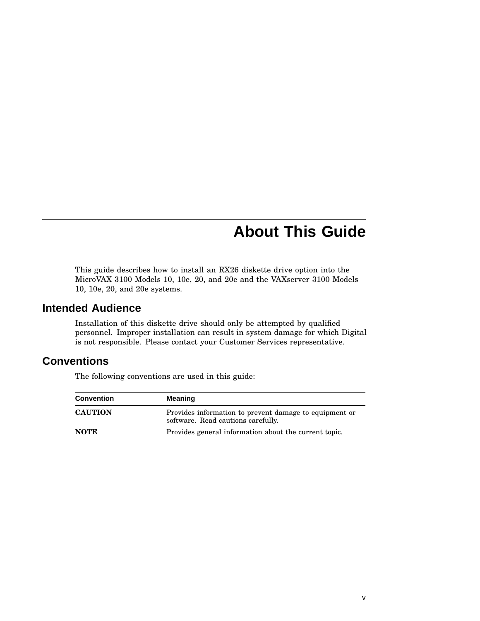# **About This Guide**

This guide describes how to install an RX26 diskette drive option into the MicroVAX 3100 Models 10, 10e, 20, and 20e and the VAXserver 3100 Models 10, 10e, 20, and 20e systems.

### **Intended Audience**

Installation of this diskette drive should only be attempted by qualified personnel. Improper installation can result in system damage for which Digital is not responsible. Please contact your Customer Services representative.

### **Conventions**

The following conventions are used in this guide:

| <b>Convention</b> | <b>Meaning</b>                                                                               |
|-------------------|----------------------------------------------------------------------------------------------|
| <b>CAUTION</b>    | Provides information to prevent damage to equipment or<br>software. Read cautions carefully. |
| <b>NOTE</b>       | Provides general information about the current topic.                                        |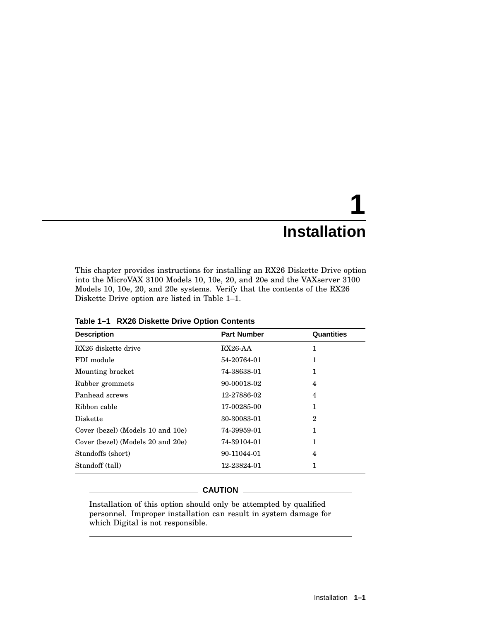# **1 Installation**

This chapter provides instructions for installing an RX26 Diskette Drive option into the MicroVAX 3100 Models 10, 10e, 20, and 20e and the VAXserver 3100 Models 10, 10e, 20, and 20e systems. Verify that the contents of the RX26 Diskette Drive option are listed in Table 1–1.

| <b>Description</b>                | <b>Part Number</b> | Quantities |  |
|-----------------------------------|--------------------|------------|--|
| RX26 diskette drive               | $RX26-AA$          | 1          |  |
| FDI module                        | 54-20764-01        | 1          |  |
| Mounting bracket                  | 74-38638-01        | 1          |  |
| Rubber grommets                   | 90-00018-02        | 4          |  |
| Panhead screws                    | 12-27886-02        | 4          |  |
| Ribbon cable                      | 17-00285-00        | 1          |  |
| <b>Diskette</b>                   | 30-30083-01        | 2          |  |
| Cover (bezel) (Models 10 and 10e) | 74-39959-01        | 1          |  |
| Cover (bezel) (Models 20 and 20e) | 74-39104-01        | 1          |  |
| Standoffs (short)                 | 90-11044-01        | 4          |  |
| Standoff (tall)                   | 12-23824-01        | 1          |  |

**Table 1–1 RX26 Diskette Drive Option Contents**

#### **CAUTION**

Installation of this option should only be attempted by qualified personnel. Improper installation can result in system damage for which Digital is not responsible.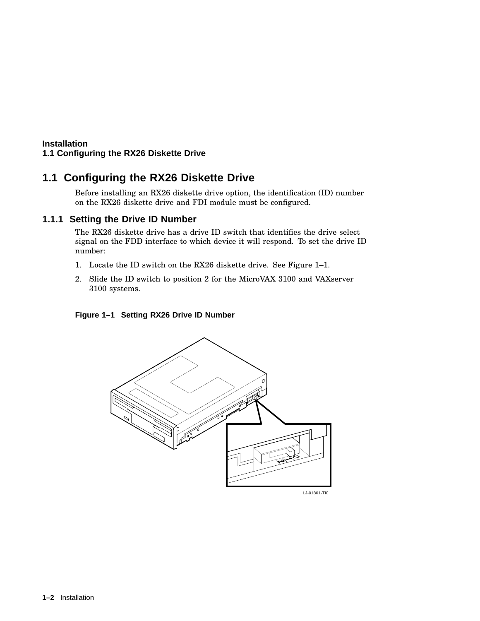## **1.1 Configuring the RX26 Diskette Drive**

Before installing an RX26 diskette drive option, the identification (ID) number on the RX26 diskette drive and FDI module must be configured.

#### **1.1.1 Setting the Drive ID Number**

The RX26 diskette drive has a drive ID switch that identifies the drive select signal on the FDD interface to which device it will respond. To set the drive ID number:

- 1. Locate the ID switch on the RX26 diskette drive. See Figure 1–1.
- 2. Slide the ID switch to position 2 for the MicroVAX 3100 and VAXserver 3100 systems.

#### **Figure 1–1 Setting RX26 Drive ID Number**



LJ-01801-TI0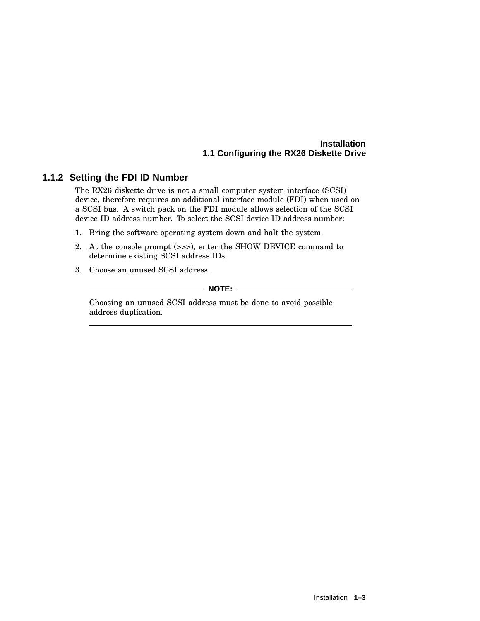#### **1.1.2 Setting the FDI ID Number**

The RX26 diskette drive is not a small computer system interface (SCSI) device, therefore requires an additional interface module (FDI) when used on a SCSI bus. A switch pack on the FDI module allows selection of the SCSI device ID address number. To select the SCSI device ID address number:

- 1. Bring the software operating system down and halt the system.
- 2. At the console prompt (>>>), enter the SHOW DEVICE command to determine existing SCSI address IDs.
- 3. Choose an unused SCSI address.

\_\_\_\_\_\_\_\_\_\_\_\_ NOTE: \_\_\_\_\_\_\_\_\_\_\_\_

Choosing an unused SCSI address must be done to avoid possible address duplication.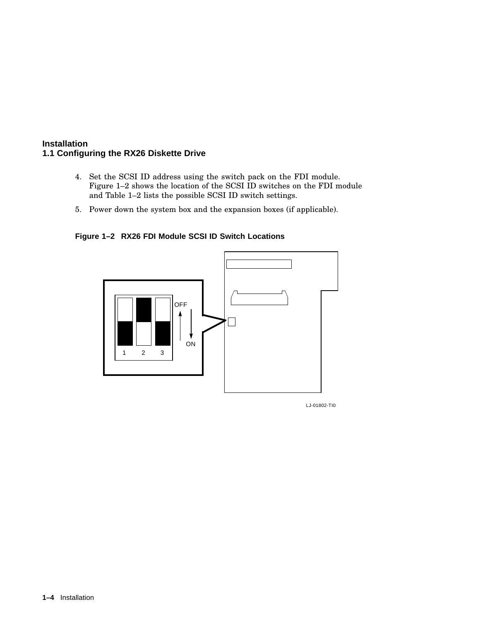- 4. Set the SCSI ID address using the switch pack on the FDI module. Figure 1–2 shows the location of the SCSI ID switches on the FDI module and Table 1–2 lists the possible SCSI ID switch settings.
- 5. Power down the system box and the expansion boxes (if applicable).

**Figure 1–2 RX26 FDI Module SCSI ID Switch Locations**



LJ-01802-TI0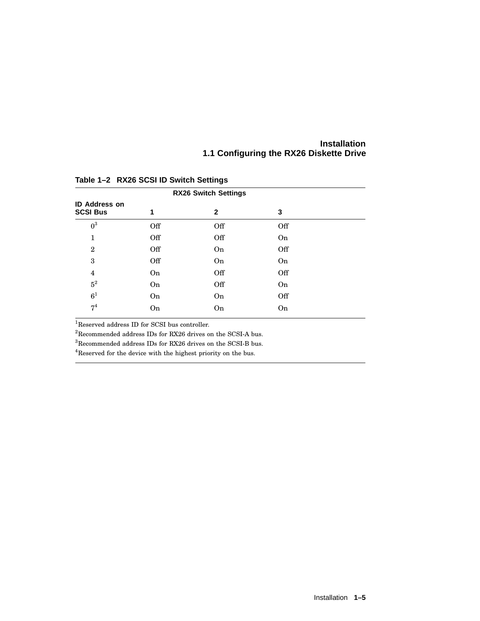| <b>RX26 Switch Settings</b>             |     |           |           |  |  |  |  |
|-----------------------------------------|-----|-----------|-----------|--|--|--|--|
| <b>ID Address on</b><br><b>SCSI Bus</b> |     | 2         | 3         |  |  |  |  |
| $0^3$                                   | Off | Off       | Off       |  |  |  |  |
| 1                                       | Off | Off       | <b>On</b> |  |  |  |  |
| $\mathbf{2}$                            | Off | <b>On</b> | Off       |  |  |  |  |
| 3                                       | Off | <b>On</b> | <b>On</b> |  |  |  |  |
| $\overline{4}$                          | On  | Off       | Off       |  |  |  |  |
| $\rm 5^2$                               | On  | Off       | <b>On</b> |  |  |  |  |
| 6 <sup>1</sup>                          | On  | <b>On</b> | Off       |  |  |  |  |
| 7 <sup>4</sup>                          | On  | On        | On        |  |  |  |  |
|                                         |     |           |           |  |  |  |  |

**Table 1–2 RX26 SCSI ID Switch Settings**

<sup>1</sup>Reserved address ID for SCSI bus controller.

 $^2\rm{Recommended}$  address IDs for RX26 drives on the SCSI-A bus.

 $^3\!$  Recommended address IDs for RX26 drives on the SCSI-B bus.

 $^4 {\rm Reserved}$  for the device with the highest priority on the bus.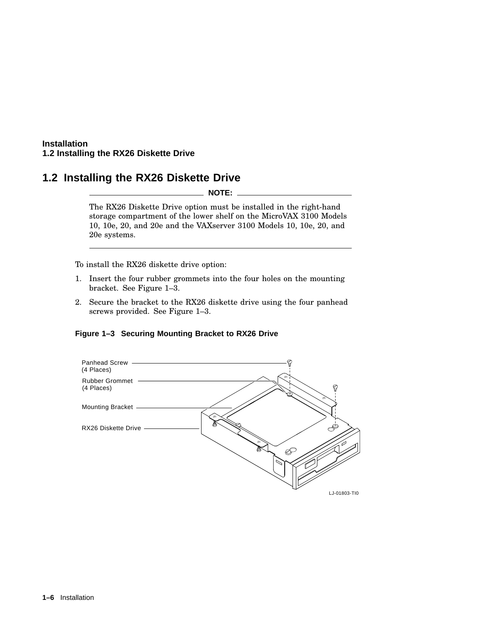#### **Installation 1.2 Installing the RX26 Diskette Drive**

### **1.2 Installing the RX26 Diskette Drive**

**NOTE:**

The RX26 Diskette Drive option must be installed in the right-hand storage compartment of the lower shelf on the MicroVAX 3100 Models 10, 10e, 20, and 20e and the VAXserver 3100 Models 10, 10e, 20, and 20e systems.

To install the RX26 diskette drive option:

- 1. Insert the four rubber grommets into the four holes on the mounting bracket. See Figure 1–3.
- 2. Secure the bracket to the RX26 diskette drive using the four panhead screws provided. See Figure 1–3.

#### **Figure 1–3 Securing Mounting Bracket to RX26 Drive**

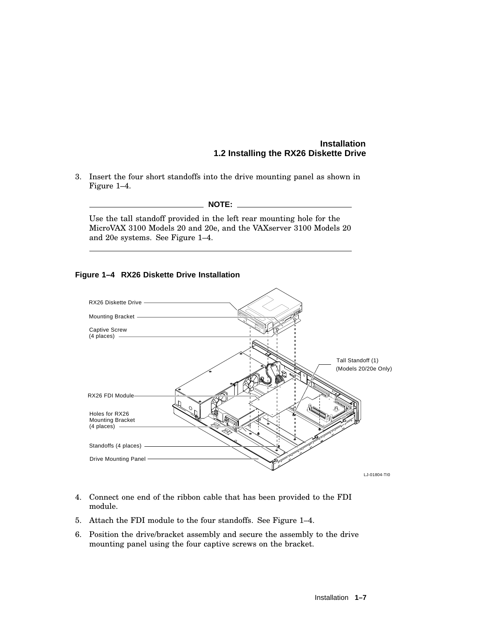#### **Installation 1.2 Installing the RX26 Diskette Drive**

3. Insert the four short standoffs into the drive mounting panel as shown in Figure 1–4.

#### **NOTE:**

Use the tall standoff provided in the left rear mounting hole for the MicroVAX 3100 Models 20 and 20e, and the VAXserver 3100 Models 20 and 20e systems. See Figure 1–4.

#### **Figure 1–4 RX26 Diskette Drive Installation**



- 4. Connect one end of the ribbon cable that has been provided to the FDI module.
- 5. Attach the FDI module to the four standoffs. See Figure 1–4.
- 6. Position the drive/bracket assembly and secure the assembly to the drive mounting panel using the four captive screws on the bracket.